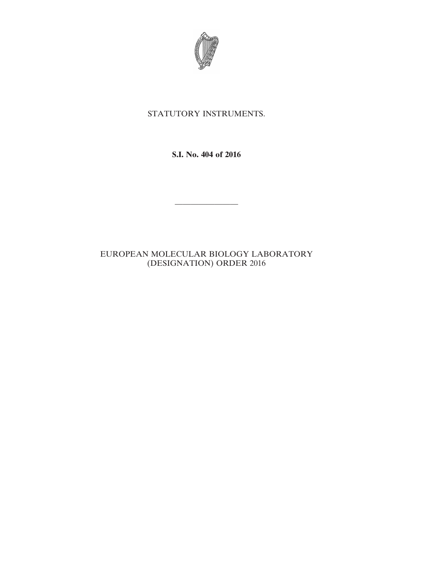

## STATUTORY INSTRUMENTS.

**S.I. No. 404 of 2016**

————————

## EUROPEAN MOLECULAR BIOLOGY LABORATORY (DESIGNATION) ORDER 2016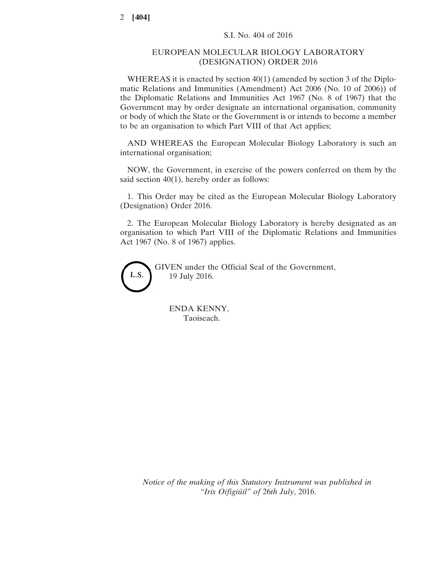## EUROPEAN MOLECULAR BIOLOGY LABORATORY (DESIGNATION) ORDER 2016

WHEREAS it is enacted by section 40(1) (amended by section 3 of the Diplomatic Relations and Immunities (Amendment) Act 2006 (No. 10 of 2006)) of the Diplomatic Relations and Immunities Act 1967 (No. 8 of 1967) that the Government may by order designate an international organisation, community or body of which the State or the Government is or intends to become a member to be an organisation to which Part VIII of that Act applies;

AND WHEREAS the European Molecular Biology Laboratory is such an international organisation;

NOW, the Government, in exercise of the powers conferred on them by the said section 40(1), hereby order as follows:

1. This Order may be cited as the European Molecular Biology Laboratory (Designation) Order 2016.

2. The European Molecular Biology Laboratory is hereby designated as an organisation to which Part VIII of the Diplomatic Relations and Immunities Act 1967 (No. 8 of 1967) applies.



GIVEN under the Official Seal of the Government, 19 July 2016.

ENDA KENNY, Taoiseach.

*Notice of the making of this Statutory Instrument was published in "Iris Oifigiúil" of* 26*th July*, 2016.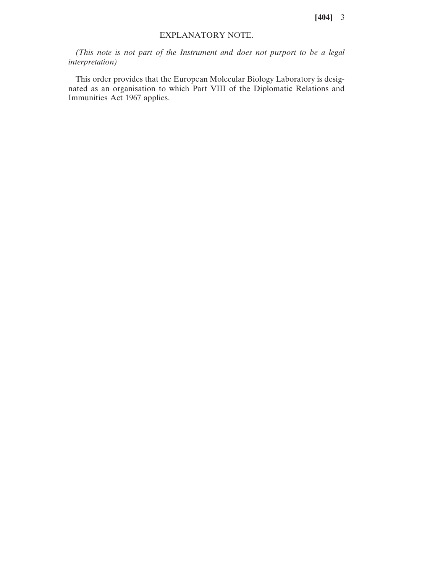**[404]** 3

## EXPLANATORY NOTE.

*(This note is not part of the Instrument and does not purport to be a legal interpretation)*

This order provides that the European Molecular Biology Laboratory is designated as an organisation to which Part VIII of the Diplomatic Relations and Immunities Act 1967 applies.